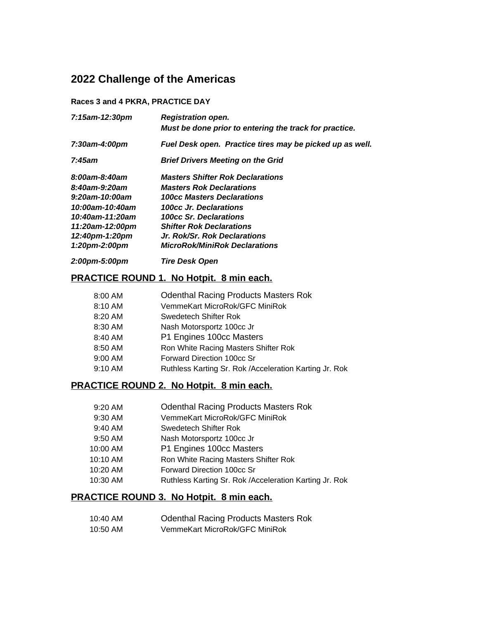# **2022 Challenge of the Americas**

### **Races 3 and 4 PKRA, PRACTICE DAY**

| 7:15am-12:30pm  | <b>Registration open.</b><br>Must be done prior to entering the track for practice. |
|-----------------|-------------------------------------------------------------------------------------|
| 7:30am-4:00pm   | Fuel Desk open. Practice tires may be picked up as well.                            |
| 7:45am          | <b>Brief Drivers Meeting on the Grid</b>                                            |
| 8:00am-8:40am   | <b>Masters Shifter Rok Declarations</b>                                             |
| 8:40am-9:20am   | <b>Masters Rok Declarations</b>                                                     |
| 9:20am-10:00am  | <b>100cc Masters Declarations</b>                                                   |
| 10:00am-10:40am | 100cc Jr. Declarations                                                              |
| 10:40am-11:20am | <b>100cc Sr. Declarations</b>                                                       |
| 11:20am-12:00pm | <b>Shifter Rok Declarations</b>                                                     |
| 12:40pm-1:20pm  | Jr. Rok/Sr. Rok Declarations                                                        |
| 1:20pm-2:00pm   | <b>MicroRok/MiniRok Declarations</b>                                                |
|                 |                                                                                     |

# *2:00pm-5:00pm Tire Desk Open*

# **PRACTICE ROUND 1. No Hotpit. 8 min each.**

| 8:00 AM   | <b>Odenthal Racing Products Masters Rok</b>            |
|-----------|--------------------------------------------------------|
| 8:10 AM   | VemmeKart MicroRok/GFC MiniRok                         |
| 8:20 AM   | Swedetech Shifter Rok                                  |
| 8:30 AM   | Nash Motorsportz 100cc Jr                              |
| 8:40 AM   | P1 Engines 100cc Masters                               |
| 8:50 AM   | Ron White Racing Masters Shifter Rok                   |
| $9:00$ AM | Forward Direction 100cc Sr                             |
| $9:10$ AM | Ruthless Karting Sr. Rok /Acceleration Karting Jr. Rok |

# **PRACTICE ROUND 2. No Hotpit. 8 min each.**

| $9:20$ AM | <b>Odenthal Racing Products Masters Rok</b>            |
|-----------|--------------------------------------------------------|
| 9:30 AM   | VemmeKart MicroRok/GFC MiniRok                         |
| $9:40$ AM | Swedetech Shifter Rok                                  |
| $9:50$ AM | Nash Motorsportz 100cc Jr                              |
| 10:00 AM  | P1 Engines 100cc Masters                               |
| 10:10 AM  | Ron White Racing Masters Shifter Rok                   |
| 10:20 AM  | Forward Direction 100cc Sr                             |
| 10:30 AM  | Ruthless Karting Sr. Rok /Acceleration Karting Jr. Rok |
|           |                                                        |

# **PRACTICE ROUND 3. No Hotpit. 8 min each.**

| 10:40 AM | <b>Odenthal Racing Products Masters Rok</b> |
|----------|---------------------------------------------|
| 10:50 AM | VemmeKart MicroRok/GFC MiniRok              |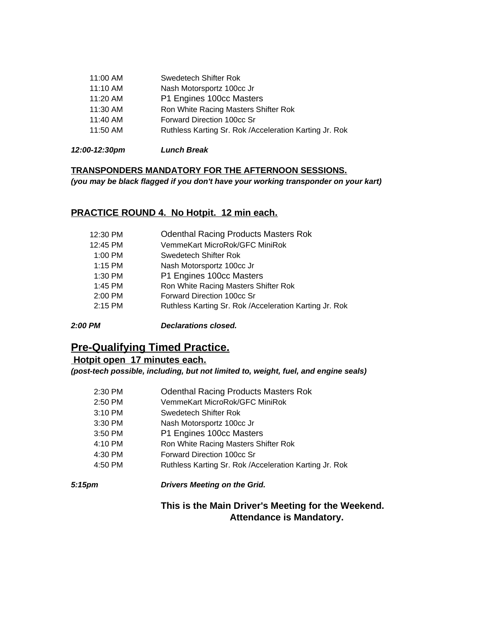| 11:00 AM | Swedetech Shifter Rok                                  |
|----------|--------------------------------------------------------|
| 11:10 AM | Nash Motorsportz 100cc Jr                              |
| 11:20 AM | P1 Engines 100cc Masters                               |
| 11:30 AM | Ron White Racing Masters Shifter Rok                   |
| 11:40 AM | Forward Direction 100cc Sr                             |
| 11:50 AM | Ruthless Karting Sr. Rok /Acceleration Karting Jr. Rok |
|          |                                                        |

*12:00-12:30pm Lunch Break*

## **TRANSPONDERS MANDATORY FOR THE AFTERNOON SESSIONS.**

*(you may be black flagged if you don't have your working transponder on your kart)*

# **PRACTICE ROUND 4. No Hotpit. 12 min each.**

| 12:30 PM  | <b>Odenthal Racing Products Masters Rok</b>            |
|-----------|--------------------------------------------------------|
| 12:45 PM  | VemmeKart MicroRok/GFC MiniRok                         |
| $1:00$ PM | Swedetech Shifter Rok                                  |
| $1:15$ PM | Nash Motorsportz 100cc Jr                              |
| 1:30 PM   | P1 Engines 100cc Masters                               |
| 1:45 PM   | Ron White Racing Masters Shifter Rok                   |
| 2:00 PM   | Forward Direction 100cc Sr                             |
| $2:15$ PM | Ruthless Karting Sr. Rok /Acceleration Karting Jr. Rok |
|           |                                                        |

*2:00 PM Declarations closed.*

# **Pre-Qualifying Timed Practice.**

# **Hotpit open 17 minutes each.**

*(post-tech possible, including, but not limited to, weight, fuel, and engine seals)*

| 2:30 PM | <b>Odenthal Racing Products Masters Rok</b>            |
|---------|--------------------------------------------------------|
| 2:50 PM | VemmeKart MicroRok/GFC MiniRok                         |
| 3:10 PM | Swedetech Shifter Rok                                  |
| 3:30 PM | Nash Motorsportz 100cc Jr                              |
| 3:50 PM | P1 Engines 100cc Masters                               |
| 4:10 PM | Ron White Racing Masters Shifter Rok                   |
| 4:30 PM | Forward Direction 100cc Sr                             |
| 4:50 PM | Ruthless Karting Sr. Rok /Acceleration Karting Jr. Rok |

## *5:15pm Drivers Meeting on the Grid.*

# **This is the Main Driver's Meeting for the Weekend. Attendance is Mandatory.**